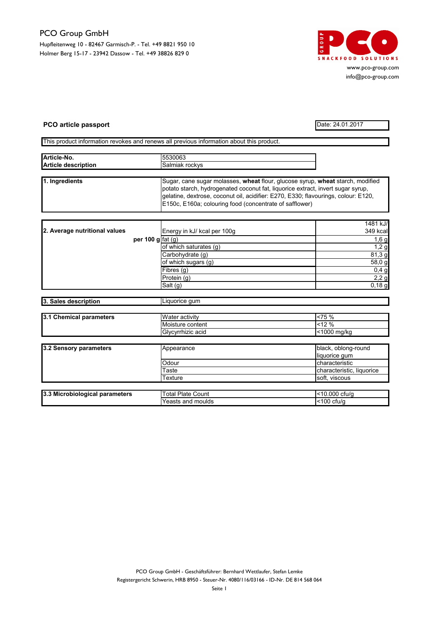## PCO Group GmbH

Hupfleitenweg 10 - 82467 Garmisch-P. - Tel. +49 8821 950 10 Holmer Berg 15-17 - 23942 Dassow - Tel. +49 38826 829 0



www.pco-group.com info@pco-group.com

## PCO article passport Date: 24.01.2017

This product information revokes and renews all previous information about this product.

| Article-No.<br><b>Article description</b> |                    | 5530063                                                                                                                                                                                                                                                                                                            |                      |
|-------------------------------------------|--------------------|--------------------------------------------------------------------------------------------------------------------------------------------------------------------------------------------------------------------------------------------------------------------------------------------------------------------|----------------------|
|                                           |                    | Salmiak rockys                                                                                                                                                                                                                                                                                                     |                      |
|                                           |                    |                                                                                                                                                                                                                                                                                                                    |                      |
| 1. Ingredients                            |                    | Sugar, cane sugar molasses, wheat flour, glucose syrup, wheat starch, modified<br>potato starch, hydrogenated coconut fat, liquorice extract, invert sugar syrup,<br>gelatine, dextrose, coconut oil, acidifier: E270, E330; flavourings, colour: E120,<br>E150c, E160a; colouring food (concentrate of safflower) |                      |
|                                           |                    |                                                                                                                                                                                                                                                                                                                    |                      |
| 2. Average nutritional values             | per 100 g $fat(q)$ | Energy in kJ/ kcal per 100g                                                                                                                                                                                                                                                                                        | 1481 kJ/<br>349 kcal |
|                                           |                    |                                                                                                                                                                                                                                                                                                                    | 1,6g                 |
|                                           |                    | of which saturates (g)                                                                                                                                                                                                                                                                                             | $1,2$ g              |
|                                           |                    | Carbohydrate (g)                                                                                                                                                                                                                                                                                                   | 81,3 g               |
|                                           |                    | of which sugars (g)                                                                                                                                                                                                                                                                                                | 58,0 g               |
|                                           |                    | Fibres (q)                                                                                                                                                                                                                                                                                                         | 0,4g                 |
|                                           |                    | Protein (g)                                                                                                                                                                                                                                                                                                        | 2,2g                 |
|                                           |                    | $\overline{\mathsf{S}}$ alt (g)                                                                                                                                                                                                                                                                                    | 0,18g                |
| 3. Sales description                      |                    | Liquorice gum                                                                                                                                                                                                                                                                                                      |                      |
|                                           |                    |                                                                                                                                                                                                                                                                                                                    |                      |
| 3.1 Chemical parameters                   |                    | Water activity                                                                                                                                                                                                                                                                                                     | $< 75 \%$            |
|                                           |                    | Moisture content                                                                                                                                                                                                                                                                                                   | $< 12 \%$            |
|                                           |                    | Glycyrrhizic acid                                                                                                                                                                                                                                                                                                  | <1000 mg/kg          |

| 3.2 Sensory parameters | Appearance | black, oblong-round       |
|------------------------|------------|---------------------------|
|                        |            | liquorice qum             |
|                        | Odour      | characteristic            |
|                        | Taste      | characteristic, liquorice |
|                        | Texture    | soft, viscous             |

| Microbiological | $P$ late                  | .000                |
|-----------------|---------------------------|---------------------|
| 13.3            | otal                      | ctu/c               |
| parameters      | Count                     | - -                 |
|                 | Yeasts<br>∣ moulds<br>and | 100<br>ctu/c<br>. . |